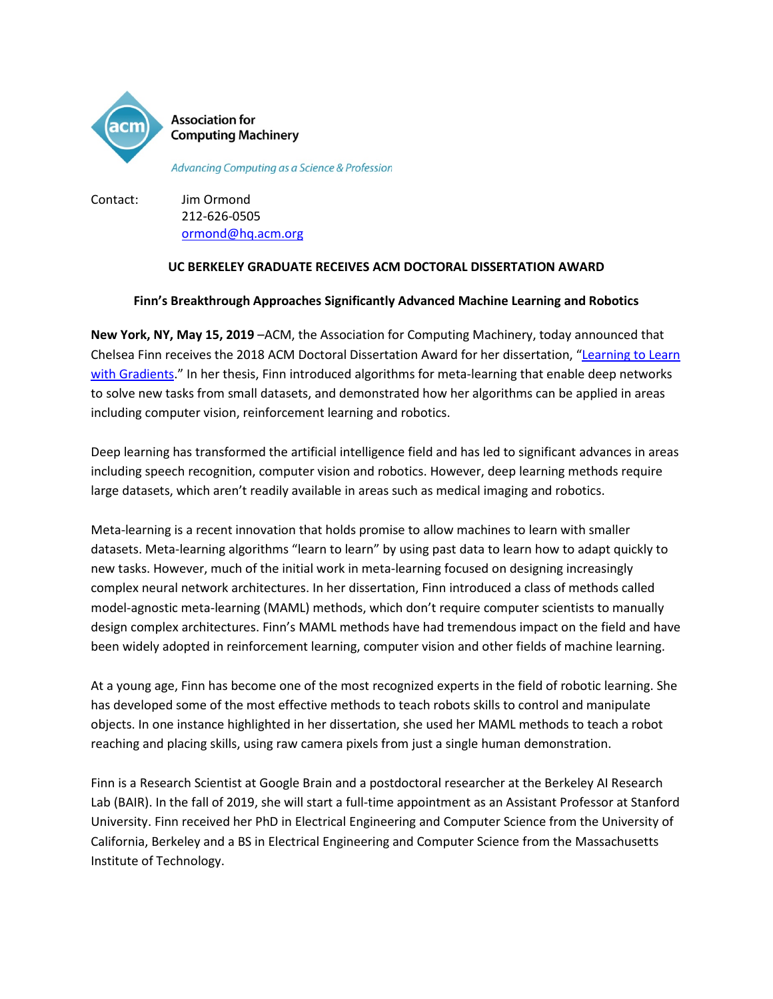

**Association for Computing Machinery** 

Advancing Computing as a Science & Profession

Contact: Jim Ormond 212-626-0505 [ormond@hq.acm.org](mailto:ormond@hq.acm.org)

# **UC BERKELEY GRADUATE RECEIVES ACM DOCTORAL DISSERTATION AWARD**

## **Finn's Breakthrough Approaches Significantly Advanced Machine Learning and Robotics**

**New York, NY, May 15, 2019** –ACM, the Association for Computing Machinery, today announced that Chelsea Finn receives the 2018 ACM Doctoral Dissertation Award for her dissertation, ["Learning to Learn](https://www2.eecs.berkeley.edu/Pubs/TechRpts/2018/EECS-2018-105.pdf)  [with Gradients.](https://www2.eecs.berkeley.edu/Pubs/TechRpts/2018/EECS-2018-105.pdf)" In her thesis, Finn introduced algorithms for meta-learning that enable deep networks to solve new tasks from small datasets, and demonstrated how her algorithms can be applied in areas including computer vision, reinforcement learning and robotics.

Deep learning has transformed the artificial intelligence field and has led to significant advances in areas including speech recognition, computer vision and robotics. However, deep learning methods require large datasets, which aren't readily available in areas such as medical imaging and robotics.

Meta-learning is a recent innovation that holds promise to allow machines to learn with smaller datasets. Meta-learning algorithms "learn to learn" by using past data to learn how to adapt quickly to new tasks. However, much of the initial work in meta-learning focused on designing increasingly complex neural network architectures. In her dissertation, Finn introduced a class of methods called model-agnostic meta-learning (MAML) methods, which don't require computer scientists to manually design complex architectures. Finn's MAML methods have had tremendous impact on the field and have been widely adopted in reinforcement learning, computer vision and other fields of machine learning.

At a young age, Finn has become one of the most recognized experts in the field of robotic learning. She has developed some of the most effective methods to teach robots skills to control and manipulate objects. In one instance highlighted in her dissertation, she used her MAML methods to teach a robot reaching and placing skills, using raw camera pixels from just a single human demonstration.

Finn is a Research Scientist at Google Brain and a postdoctoral researcher at the Berkeley AI Research Lab (BAIR). In the fall of 2019, she will start a full-time appointment as an Assistant Professor at Stanford University. Finn received her PhD in Electrical Engineering and Computer Science from the University of California, Berkeley and a BS in Electrical Engineering and Computer Science from the Massachusetts Institute of Technology.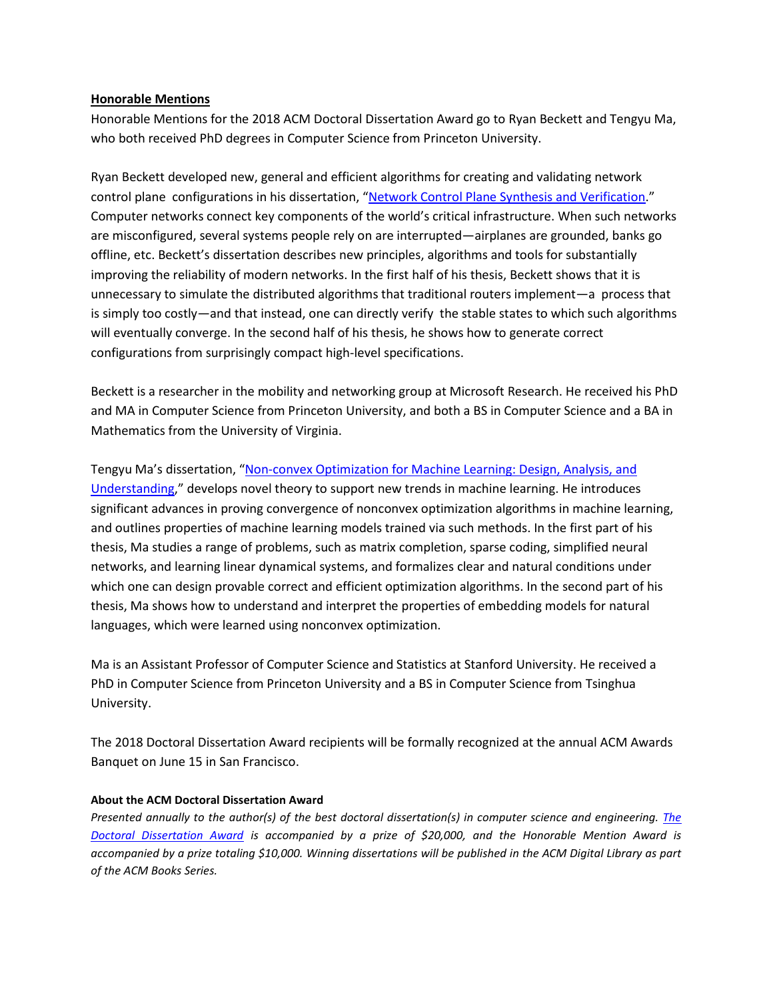## **Honorable Mentions**

Honorable Mentions for the 2018 ACM Doctoral Dissertation Award go to Ryan Beckett and Tengyu Ma, who both received PhD degrees in Computer Science from Princeton University.

Ryan Beckett developed new, general and efficient algorithms for creating and validating network control plane configurations in his dissertation, ["Network Control Plane Synthesis and Verification.](http://www.rbeckett.org/files/thesis.pdf)" Computer networks connect key components of the world's critical infrastructure. When such networks are misconfigured, several systems people rely on are interrupted—airplanes are grounded, banks go offline, etc. Beckett's dissertation describes new principles, algorithms and tools for substantially improving the reliability of modern networks. In the first half of his thesis, Beckett shows that it is unnecessary to simulate the distributed algorithms that traditional routers implement—a process that is simply too costly—and that instead, one can directly verify the stable states to which such algorithms will eventually converge. In the second half of his thesis, he shows how to generate correct configurations from surprisingly compact high-level specifications.

Beckett is a researcher in the mobility and networking group at Microsoft Research. He received his PhD and MA in Computer Science from Princeton University, and both a BS in Computer Science and a BA in Mathematics from the University of Virginia.

Tengyu Ma's dissertation, ["Non-convex Optimization for Machine Learning: Design, Analysis, and](https://dataspace.princeton.edu/jspui/bitstream/88435/dsp01th83m199d/1/Ma_princeton_0181D_12361.pdf)  [Understanding,](https://dataspace.princeton.edu/jspui/bitstream/88435/dsp01th83m199d/1/Ma_princeton_0181D_12361.pdf)" develops novel theory to support new trends in machine learning. He introduces significant advances in proving convergence of nonconvex optimization algorithms in machine learning, and outlines properties of machine learning models trained via such methods. In the first part of his thesis, Ma studies a range of problems, such as matrix completion, sparse coding, simplified neural networks, and learning linear dynamical systems, and formalizes clear and natural conditions under which one can design provable correct and efficient optimization algorithms. In the second part of his thesis, Ma shows how to understand and interpret the properties of embedding models for natural languages, which were learned using nonconvex optimization.

Ma is an Assistant Professor of Computer Science and Statistics at Stanford University. He received a PhD in Computer Science from Princeton University and a BS in Computer Science from Tsinghua University.

The 2018 Doctoral Dissertation Award recipients will be formally recognized at the annual ACM Awards Banquet on June 15 in San Francisco.

#### **About the ACM Doctoral Dissertation Award**

*Presented annually to the author(s) of the best doctoral dissertation(s) in computer science and engineering. [The](https://awards.acm.org/doctoral-dissertation)  [Doctoral Dissertation Award](https://awards.acm.org/doctoral-dissertation) is accompanied by a prize of \$20,000, and the Honorable Mention Award is accompanied by a prize totaling \$10,000. Winning dissertations will be published in the ACM Digital Library as part of the ACM Books Series.*